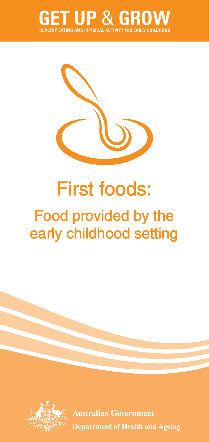



# **First foods:**

## **Food provided by the early childhood setting**



**Australian Government Department of Health and Ageing**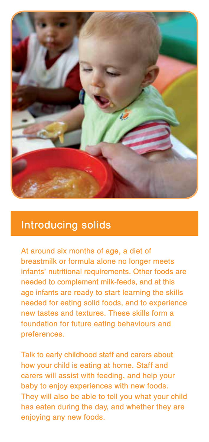

### **Introducing solids**

**At around six months of age, a diet of breastmilk or formula alone no longer meets infants' nutritional requirements. Other foods are needed to complement milk-feeds, and at this age infants are ready to start learning the skills needed for eating solid foods, and to experience new tastes and textures. These skills form a foundation for future eating behaviours and preferences.** 

**Talk to early childhood staff and carers about how your child is eating at home. Staff and carers will assist with feeding, and help your baby to enjoy experiences with new foods. They will also be able to tell you what your child has eaten during the day, and whether they are enjoying any new foods.**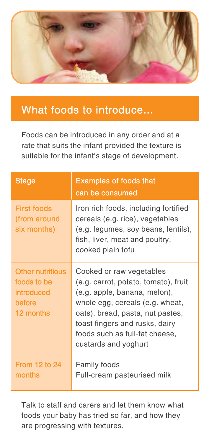

### **What foods to introduce...**

Foods can be introduced in any order and at a rate that suits the infant provided the texture is suitable for the infant's stage of development.

| <b>Stage</b>                                                                | <b>Examples of foods that</b><br>can be consumed                                                                                                                                                                                                                    |
|-----------------------------------------------------------------------------|---------------------------------------------------------------------------------------------------------------------------------------------------------------------------------------------------------------------------------------------------------------------|
| <b>First foods</b><br>(from around<br>six months)                           | Iron rich foods, including fortified<br>cereals (e.g. rice), vegetables<br>(e.g. legumes, soy beans, lentils),<br>fish, liver, meat and poultry,<br>cooked plain tofu                                                                                               |
| <b>Other nutritious</b><br>foods to be<br>introduced<br>before<br>12 months | Cooked or raw vegetables<br>(e.g. carrot, potato, tomato), fruit<br>(e.g. apple, banana, melon),<br>whole egg, cereals (e.g. wheat,<br>oats), bread, pasta, nut pastes,<br>toast fingers and rusks, dairy<br>foods such as full-fat cheese,<br>custards and yoghurt |
| <b>From 12 to 24</b><br>months                                              | <b>Family foods</b><br>Full-cream pasteurised milk                                                                                                                                                                                                                  |

Talk to staff and carers and let them know what foods your baby has tried so far, and how they are progressing with textures.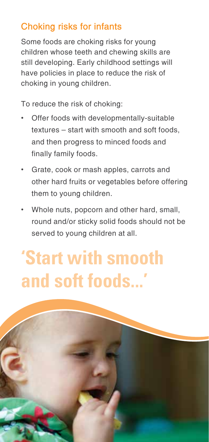### **Choking risks for infants**

Some foods are choking risks for young children whose teeth and chewing skills are still developing. Early childhood settings will have policies in place to reduce the risk of choking in young children.

To reduce the risk of choking:

- Offer foods with developmentally-suitable textures – start with smooth and soft foods, and then progress to minced foods and finally family foods.
- • Grate, cook or mash apples, carrots and other hard fruits or vegetables before offering them to young children.
- Whole nuts, popcorn and other hard, small, round and/or sticky solid foods should not be served to young children at all.

# **'Start with smooth**  and soft foods...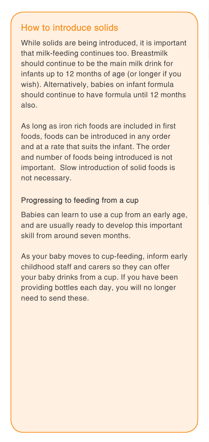#### **How to introduce solids**

While solids are being introduced, it is important that milk-feeding continues too. Breastmilk should continue to be the main milk drink for infants up to 12 months of age (or longer if you wish). Alternatively, babies on infant formula should continue to have formula until 12 months also.

As long as iron rich foods are included in first foods, foods can be introduced in any order and at a rate that suits the infant. The order and number of foods being introduced is not important. Slow introduction of solid foods is not necessary.

#### **Progressing to feeding from a cup**

Babies can learn to use a cup from an early age, and are usually ready to develop this important skill from around seven months.

As your baby moves to cup-feeding, inform early childhood staff and carers so they can offer your baby drinks from a cup. If you have been providing bottles each day, you will no longer need to send these.